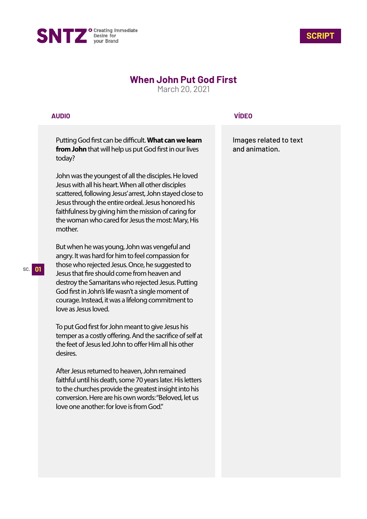



## **When John Put God First**

March 20, 2021

## **AUDIO**

Putting God first can be difficult. What can we learn **from John** that will help us put God first in our lives today?

John was the youngest of all the disciples. He loved Jesus with all his heart. When all other disciples scattered, following Jesus' arrest, John stayed close to Jesus through the entire ordeal. Jesus honored his faithfulness by giving him the mission of caring for the woman who cared for Jesus the most: Mary, His mother.

But when he was young, John was vengeful and angry. It was hard for him to feel compassion for those who rejected Jesus. Once, he suggested to Jesus that fire should come from heaven and destroy the Samaritans who rejected Jesus. Putting God first in John's life wasn't a single moment of courage. Instead, it was a lifelong commitment to love as Jesus loved.

To put God first for John meant to give Jesus his temper as a costly offering. And the sacrifice of self at the feet of Jesus led John to offer Him all his other desires.

After Jesus returned to heaven, John remained faithful until his death, some 70 years later. His letters to the churches provide the greatest insight into his conversion. Here are his own words: "Beloved, let us love one another: for love is from God."

## **VÍDEO**

Images related to text and animation.